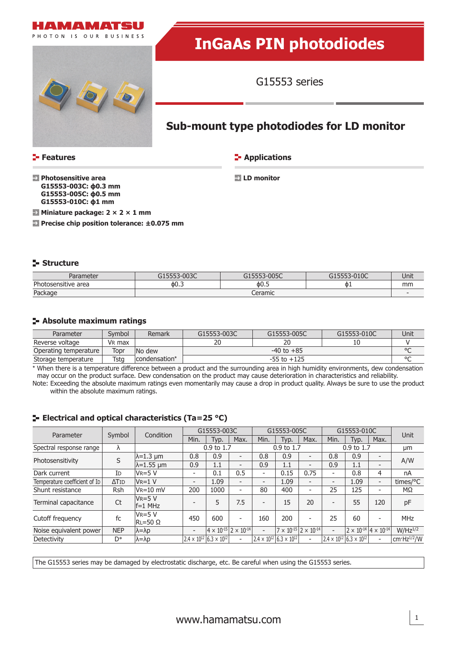



# **InGaAs PIN photodiodes**

G15553 series

# **Sub-mount type photodiodes for LD monitor**

**Features**

**Applications** 

 **Photosensitive area G15553-003C: ϕ0.3 mm G15553-005C: ϕ0.5 mm G15553-010C: ϕ1 mm**

 **LD monitor**

**Miniature package: 2 × 2 × 1 mm Precise chip position tolerance: ±0.075 mm**

#### **Structure**

| arameter                           | 0022<br>JCOD.                | $-005C$ | 0.100<br>-UIUC | Unit |  |  |
|------------------------------------|------------------------------|---------|----------------|------|--|--|
| $\sim$<br>tosensitive area<br>TIOI | OU.S                         | ቀ0.5    | <b>OI</b>      | mm   |  |  |
| Package                            | $\alpha$ ramic<br>CEI dITIIC |         |                |      |  |  |

#### **Absolute maximum ratings**

| Parameter             | Svmbol             | Remark        | G15553-005C<br>G15553-003C |    | G15553-010C | Unit |  |  |  |
|-----------------------|--------------------|---------------|----------------------------|----|-------------|------|--|--|--|
| Reverse voltage       | V <sub>R</sub> max |               |                            | 20 | 10          |      |  |  |  |
| Operating temperature | Topr               | No dew        | $-40$ to $+85$             |    |             |      |  |  |  |
| Storage temperature   | Tsta               | condensation* | $-55$ to $+125$            |    |             |      |  |  |  |

\* When there is a temperature difference between a product and the surrounding area in high humidity environments, dew condensation may occur on the product surface. Dew condensation on the product may cause deterioration in characteristics and reliability.

Note: Exceeding the absolute maximum ratings even momentarily may cause a drop in product quality. Always be sure to use the product within the absolute maximum ratings.

# **E** Electrical and optical characteristics (Ta=25 °C)

| Parameter                     | Symbol        | Condition                       | G15553-003C              |                                           | G15553-005C              |                          | G15553-010C                               |                          |                          | <b>Unit</b>                                        |                          |                  |
|-------------------------------|---------------|---------------------------------|--------------------------|-------------------------------------------|--------------------------|--------------------------|-------------------------------------------|--------------------------|--------------------------|----------------------------------------------------|--------------------------|------------------|
|                               |               |                                 | Min.                     | Typ.                                      | Max.                     | Min.                     | Typ.                                      | Max.                     | Min.                     | Typ.                                               | Max.                     |                  |
| Spectral response range       | λ             |                                 | 0.9 to 1.7               |                                           | 0.9 to 1.7               |                          | 0.9 to 1.7                                |                          |                          | μm                                                 |                          |                  |
| Photosensitivity              | S             | $\lambda = 1.3$ µm              | 0.8                      | 0.9                                       | $\overline{\phantom{0}}$ | 0.8                      | 0.9                                       | $\overline{a}$           | 0.8                      | 0.9                                                | $\overline{\phantom{a}}$ | A/W              |
|                               |               | $\lambda$ =1.55 µm              | 0.9                      | 1.1                                       | $\overline{\phantom{0}}$ | 0.9                      | 1.1                                       | -                        | 0.9                      | 1.1                                                | $\overline{\phantom{a}}$ |                  |
| Dark current                  | ID            | $V_R = 5 V$                     | $\overline{\phantom{a}}$ | 0.1                                       | 0.5                      | $\overline{\phantom{a}}$ | 0.15                                      | 0.75                     | $\overline{\phantom{a}}$ | 0.8                                                | 4                        | nA               |
| Temperature coefficient of Ip | $\Delta T$ ID | $VR=1$ V                        | $\overline{\phantom{a}}$ | 1.09                                      | $\overline{\phantom{0}}$ | $\overline{\phantom{0}}$ | 1.09                                      | $\overline{\phantom{0}}$ | $\overline{\phantom{0}}$ | 1.09                                               | $\overline{\phantom{a}}$ | times/ $\rm ^oC$ |
| Shunt resistance              | Rsh           | $V_R = 10$ mV                   | 200                      | 1000                                      | $\overline{\phantom{a}}$ | 80                       | 400                                       |                          | 25                       | 125                                                | ٠                        | MΩ               |
| Terminal capacitance          | Ct            | $VR = 5 V$<br>$f=1$ MHz         |                          | 5                                         | 7.5                      | $\overline{\phantom{a}}$ | 15                                        | 20                       | $\overline{\phantom{0}}$ | 55                                                 | 120                      | pF               |
| Cutoff frequency              | fc            | $V_R = 5 V$<br>$RL = 50 \Omega$ | 450                      | 600                                       | $\overline{\phantom{0}}$ | 160                      | 200                                       |                          | 25                       | 60                                                 | $\overline{\phantom{a}}$ | <b>MHz</b>       |
| Noise equivalent power        | <b>NEP</b>    | $\lambda = \lambda p$           | $\overline{\phantom{0}}$ | $4 \times 10^{-15}$   2 $\times 10^{-14}$ |                          | $\overline{\phantom{a}}$ | $7 \times 10^{-15}$ $2 \times 10^{-14}$   |                          | $\overline{\phantom{a}}$ | $2 \times 10^{-14}$ 4 $\times 10^{-14}$            |                          | $W/Hz^{1/2}$     |
| Detectivity                   | D*            | $\lambda = \lambda p$           |                          | $2.4 \times 10^{12}$ 6.3 $\times 10^{12}$ | $\overline{\phantom{a}}$ |                          | $2.4 \times 10^{12}$ 6.3 $\times 10^{12}$ | Ξ.                       |                          | $2.4 \times 10^{12}$ 6.3 $\times$ 10 <sup>12</sup> | $\overline{\phantom{a}}$ | cm $Hz^{1/2}/W$  |

The G15553 series may be damaged by electrostatic discharge, etc. Be careful when using the G15553 series.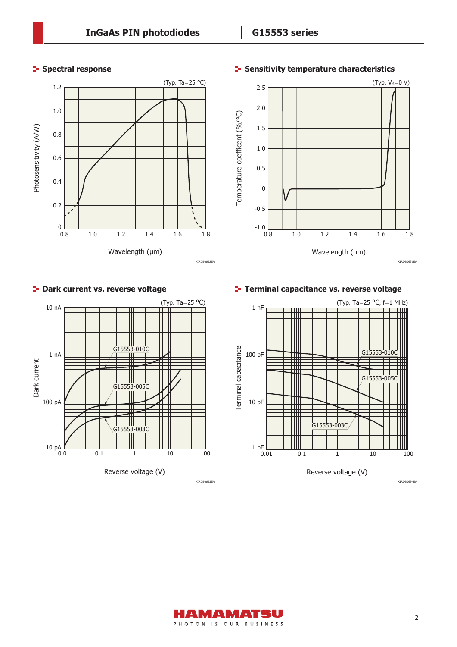# **Spectral response**





#### **F-** Sensitivity temperature characteristics

KIRDB0636EA



#### **P** Dark current vs. reverse voltage

**Terminal capacitance vs. reverse voltage**



KIRDB0693EA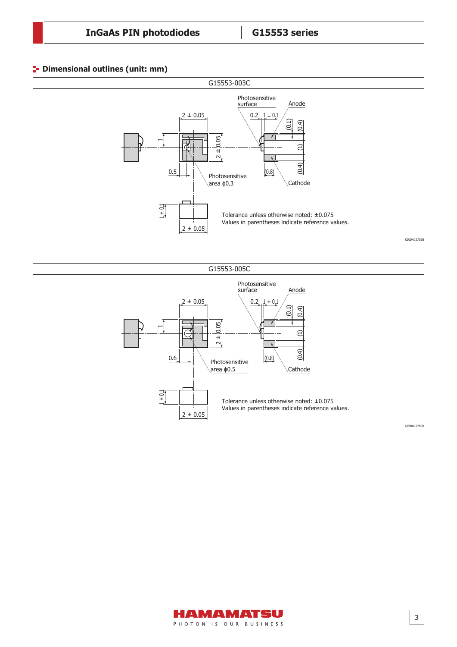### **Dimensional outlines (unit: mm)**